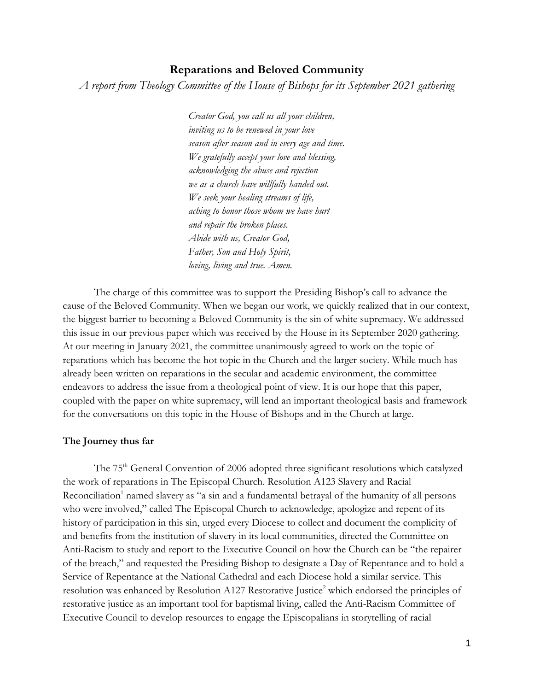# **Reparations and Beloved Community**

*A report from Theology Committee of the House of Bishops for its September 2021 gathering*

*Creator God, you call us all your children, inviting us to be renewed in your love season after season and in every age and time. We gratefully accept your love and blessing, acknowledging the abuse and rejection we as a church have willfully handed out. We seek your healing streams of life, aching to honor those whom we have hurt and repair the broken places. Abide with us, Creator God, Father, Son and Holy Spirit, loving, living and true. Amen.*

The charge of this committee was to support the Presiding Bishop's call to advance the cause of the Beloved Community. When we began our work, we quickly realized that in our context, the biggest barrier to becoming a Beloved Community is the sin of white supremacy. We addressed this issue in our previous paper which was received by the House in its September 2020 gathering. At our meeting in January 2021, the committee unanimously agreed to work on the topic of reparations which has become the hot topic in the Church and the larger society. While much has already been written on reparations in the secular and academic environment, the committee endeavors to address the issue from a theological point of view. It is our hope that this paper, coupled with the paper on white supremacy, will lend an important theological basis and framework for the conversations on this topic in the House of Bishops and in the Church at large.

# **The Journey thus far**

The 75<sup>th</sup> General Convention of 2006 adopted three significant resolutions which catalyzed the work of reparations in The Episcopal Church. Resolution A123 Slavery and Racial Reconciliation<sup>1</sup> named slavery as "a sin and a fundamental betrayal of the humanity of all persons who were involved," called The Episcopal Church to acknowledge, apologize and repent of its history of participation in this sin, urged every Diocese to collect and document the complicity of and benefits from the institution of slavery in its local communities, directed the Committee on Anti-Racism to study and report to the Executive Council on how the Church can be "the repairer of the breach," and requested the Presiding Bishop to designate a Day of Repentance and to hold a Service of Repentance at the National Cathedral and each Diocese hold a similar service. This resolution was enhanced by Resolution A127 Restorative Justice<sup>2</sup> which endorsed the principles of restorative justice as an important tool for baptismal living, called the Anti-Racism Committee of Executive Council to develop resources to engage the Episcopalians in storytelling of racial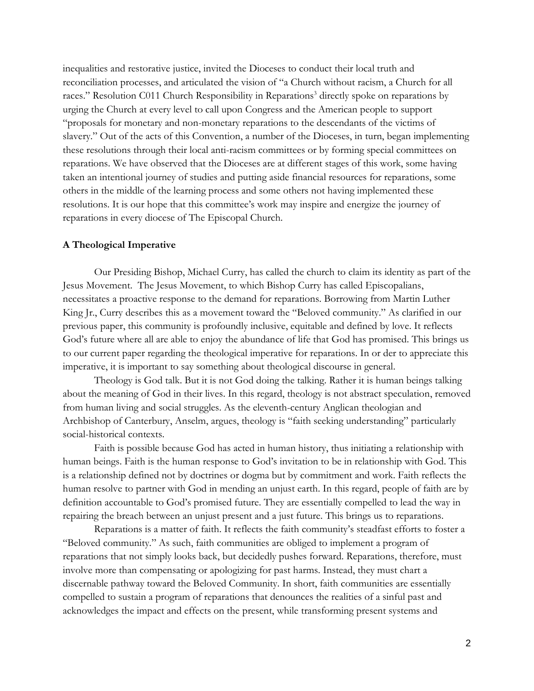inequalities and restorative justice, invited the Dioceses to conduct their local truth and reconciliation processes, and articulated the vision of "a Church without racism, a Church for all races." Resolution C011 Church Responsibility in Reparations<sup>3</sup> directly spoke on reparations by urging the Church at every level to call upon Congress and the American people to support "proposals for monetary and non-monetary reparations to the descendants of the victims of slavery." Out of the acts of this Convention, a number of the Dioceses, in turn, began implementing these resolutions through their local anti-racism committees or by forming special committees on reparations. We have observed that the Dioceses are at different stages of this work, some having taken an intentional journey of studies and putting aside financial resources for reparations, some others in the middle of the learning process and some others not having implemented these resolutions. It is our hope that this committee's work may inspire and energize the journey of reparations in every diocese of The Episcopal Church.

### **A Theological Imperative**

Our Presiding Bishop, Michael Curry, has called the church to claim its identity as part of the Jesus Movement. The Jesus Movement, to which Bishop Curry has called Episcopalians, necessitates a proactive response to the demand for reparations. Borrowing from Martin Luther King Jr., Curry describes this as a movement toward the "Beloved community." As clarified in our previous paper, this community is profoundly inclusive, equitable and defined by love. It reflects God's future where all are able to enjoy the abundance of life that God has promised. This brings us to our current paper regarding the theological imperative for reparations. In or der to appreciate this imperative, it is important to say something about theological discourse in general.

Theology is God talk. But it is not God doing the talking. Rather it is human beings talking about the meaning of God in their lives. In this regard, theology is not abstract speculation, removed from human living and social struggles. As the eleventh-century Anglican theologian and Archbishop of Canterbury, Anselm, argues, theology is "faith seeking understanding" particularly social-historical contexts.

Faith is possible because God has acted in human history, thus initiating a relationship with human beings. Faith is the human response to God's invitation to be in relationship with God. This is a relationship defined not by doctrines or dogma but by commitment and work. Faith reflects the human resolve to partner with God in mending an unjust earth. In this regard, people of faith are by definition accountable to God's promised future. They are essentially compelled to lead the way in repairing the breach between an unjust present and a just future. This brings us to reparations.

Reparations is a matter of faith. It reflects the faith community's steadfast efforts to foster a "Beloved community." As such, faith communities are obliged to implement a program of reparations that not simply looks back, but decidedly pushes forward. Reparations, therefore, must involve more than compensating or apologizing for past harms. Instead, they must chart a discernable pathway toward the Beloved Community. In short, faith communities are essentially compelled to sustain a program of reparations that denounces the realities of a sinful past and acknowledges the impact and effects on the present, while transforming present systems and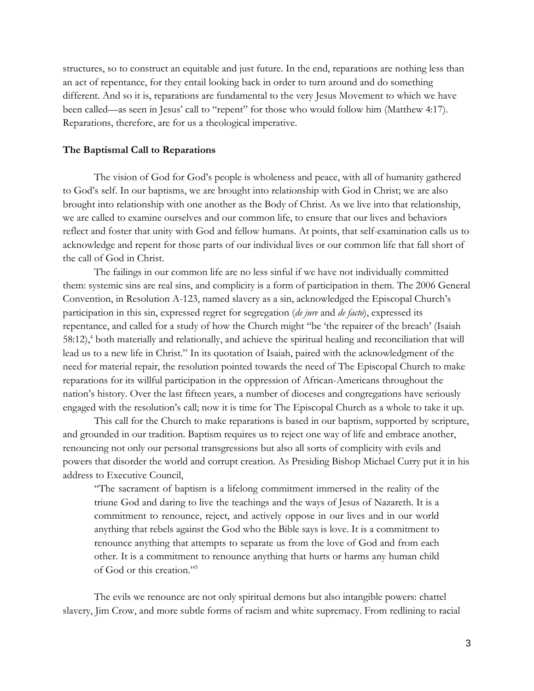structures, so to construct an equitable and just future. In the end, reparations are nothing less than an act of repentance, for they entail looking back in order to turn around and do something different. And so it is, reparations are fundamental to the very Jesus Movement to which we have been called—as seen in Jesus' call to "repent" for those who would follow him (Matthew 4:17). Reparations, therefore, are for us a theological imperative.

### **The Baptismal Call to Reparations**

The vision of God for God's people is wholeness and peace, with all of humanity gathered to God's self. In our baptisms, we are brought into relationship with God in Christ; we are also brought into relationship with one another as the Body of Christ. As we live into that relationship, we are called to examine ourselves and our common life, to ensure that our lives and behaviors reflect and foster that unity with God and fellow humans. At points, that self-examination calls us to acknowledge and repent for those parts of our individual lives or our common life that fall short of the call of God in Christ.

The failings in our common life are no less sinful if we have not individually committed them: systemic sins are real sins, and complicity is a form of participation in them. The 2006 General Convention, in Resolution A-123, named slavery as a sin, acknowledged the Episcopal Church's participation in this sin, expressed regret for segregation (*de jure* and *de facto*), expressed its repentance, and called for a study of how the Church might "be 'the repairer of the breach' (Isaiah  $58:12$ ,<sup>4</sup> both materially and relationally, and achieve the spiritual healing and reconciliation that will lead us to a new life in Christ." In its quotation of Isaiah, paired with the acknowledgment of the need for material repair, the resolution pointed towards the need of The Episcopal Church to make reparations for its willful participation in the oppression of African-Americans throughout the nation's history. Over the last fifteen years, a number of dioceses and congregations have seriously engaged with the resolution's call; now it is time for The Episcopal Church as a whole to take it up.

This call for the Church to make reparations is based in our baptism, supported by scripture, and grounded in our tradition. Baptism requires us to reject one way of life and embrace another, renouncing not only our personal transgressions but also all sorts of complicity with evils and powers that disorder the world and corrupt creation. As Presiding Bishop Michael Curry put it in his address to Executive Council,

"The sacrament of baptism is a lifelong commitment immersed in the reality of the triune God and daring to live the teachings and the ways of Jesus of Nazareth. It is a commitment to renounce, reject, and actively oppose in our lives and in our world anything that rebels against the God who the Bible says is love. It is a commitment to renounce anything that attempts to separate us from the love of God and from each other. It is a commitment to renounce anything that hurts or harms any human child of God or this creation." 5

The evils we renounce are not only spiritual demons but also intangible powers: chattel slavery, Jim Crow, and more subtle forms of racism and white supremacy. From redlining to racial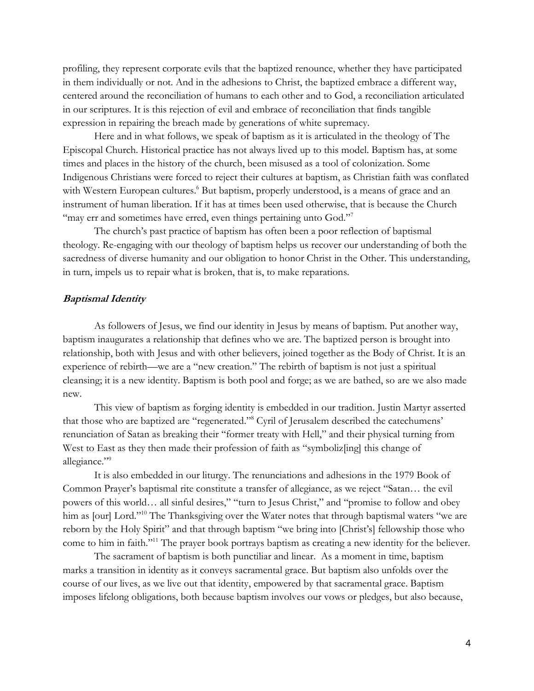profiling, they represent corporate evils that the baptized renounce, whether they have participated in them individually or not. And in the adhesions to Christ, the baptized embrace a different way, centered around the reconciliation of humans to each other and to God, a reconciliation articulated in our scriptures. It is this rejection of evil and embrace of reconciliation that finds tangible expression in repairing the breach made by generations of white supremacy.

Here and in what follows, we speak of baptism as it is articulated in the theology of The Episcopal Church. Historical practice has not always lived up to this model. Baptism has, at some times and places in the history of the church, been misused as a tool of colonization. Some Indigenous Christians were forced to reject their cultures at baptism, as Christian faith was conflated with Western European cultures.<sup>6</sup> But baptism, properly understood, is a means of grace and an instrument of human liberation. If it has at times been used otherwise, that is because the Church "may err and sometimes have erred, even things pertaining unto God."<sup>7</sup>

The church's past practice of baptism has often been a poor reflection of baptismal theology. Re-engaging with our theology of baptism helps us recover our understanding of both the sacredness of diverse humanity and our obligation to honor Christ in the Other. This understanding, in turn, impels us to repair what is broken, that is, to make reparations.

## **Baptismal Identity**

As followers of Jesus, we find our identity in Jesus by means of baptism. Put another way, baptism inaugurates a relationship that defines who we are. The baptized person is brought into relationship, both with Jesus and with other believers, joined together as the Body of Christ. It is an experience of rebirth—we are a "new creation." The rebirth of baptism is not just a spiritual cleansing; it is a new identity. Baptism is both pool and forge; as we are bathed, so are we also made new.

This view of baptism as forging identity is embedded in our tradition. Justin Martyr asserted that those who are baptized are "regenerated."<sup>8</sup> Cyril of Jerusalem described the catechumens' renunciation of Satan as breaking their "former treaty with Hell," and their physical turning from West to East as they then made their profession of faith as "symboliz[ing] this change of allegiance."<sup>9</sup>

It is also embedded in our liturgy. The renunciations and adhesions in the 1979 Book of Common Prayer's baptismal rite constitute a transfer of allegiance, as we reject "Satan… the evil powers of this world… all sinful desires," "turn to Jesus Christ," and "promise to follow and obey him as [our] Lord."<sup>10</sup> The Thanksgiving over the Water notes that through baptismal waters "we are reborn by the Holy Spirit" and that through baptism "we bring into [Christ's] fellowship those who come to him in faith."<sup>11</sup> The prayer book portrays baptism as creating a new identity for the believer.

The sacrament of baptism is both punctiliar and linear. As a moment in time, baptism marks a transition in identity as it conveys sacramental grace. But baptism also unfolds over the course of our lives, as we live out that identity, empowered by that sacramental grace. Baptism imposes lifelong obligations, both because baptism involves our vows or pledges, but also because,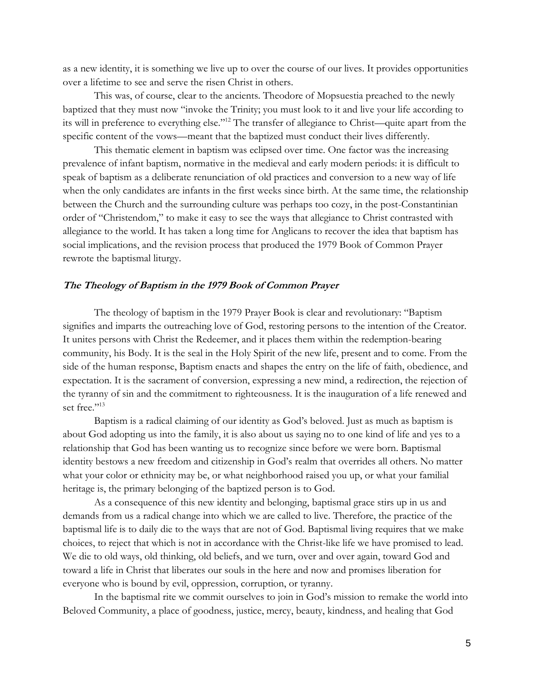as a new identity, it is something we live up to over the course of our lives. It provides opportunities over a lifetime to see and serve the risen Christ in others.

This was, of course, clear to the ancients. Theodore of Mopsuestia preached to the newly baptized that they must now "invoke the Trinity; you must look to it and live your life according to its will in preference to everything else."<sup>12</sup> The transfer of allegiance to Christ—quite apart from the specific content of the vows—meant that the baptized must conduct their lives differently.

This thematic element in baptism was eclipsed over time. One factor was the increasing prevalence of infant baptism, normative in the medieval and early modern periods: it is difficult to speak of baptism as a deliberate renunciation of old practices and conversion to a new way of life when the only candidates are infants in the first weeks since birth. At the same time, the relationship between the Church and the surrounding culture was perhaps too cozy, in the post-Constantinian order of "Christendom," to make it easy to see the ways that allegiance to Christ contrasted with allegiance to the world. It has taken a long time for Anglicans to recover the idea that baptism has social implications, and the revision process that produced the 1979 Book of Common Prayer rewrote the baptismal liturgy.

## **The Theology of Baptism in the 1979 Book of Common Prayer**

The theology of baptism in the 1979 Prayer Book is clear and revolutionary: "Baptism signifies and imparts the outreaching love of God, restoring persons to the intention of the Creator. It unites persons with Christ the Redeemer, and it places them within the redemption-bearing community, his Body. It is the seal in the Holy Spirit of the new life, present and to come. From the side of the human response, Baptism enacts and shapes the entry on the life of faith, obedience, and expectation. It is the sacrament of conversion, expressing a new mind, a redirection, the rejection of the tyranny of sin and the commitment to righteousness. It is the inauguration of a life renewed and set free."<sup>13</sup>

Baptism is a radical claiming of our identity as God's beloved. Just as much as baptism is about God adopting us into the family, it is also about us saying no to one kind of life and yes to a relationship that God has been wanting us to recognize since before we were born. Baptismal identity bestows a new freedom and citizenship in God's realm that overrides all others. No matter what your color or ethnicity may be, or what neighborhood raised you up, or what your familial heritage is, the primary belonging of the baptized person is to God.

As a consequence of this new identity and belonging, baptismal grace stirs up in us and demands from us a radical change into which we are called to live. Therefore, the practice of the baptismal life is to daily die to the ways that are not of God. Baptismal living requires that we make choices, to reject that which is not in accordance with the Christ-like life we have promised to lead. We die to old ways, old thinking, old beliefs, and we turn, over and over again, toward God and toward a life in Christ that liberates our souls in the here and now and promises liberation for everyone who is bound by evil, oppression, corruption, or tyranny.

In the baptismal rite we commit ourselves to join in God's mission to remake the world into Beloved Community, a place of goodness, justice, mercy, beauty, kindness, and healing that God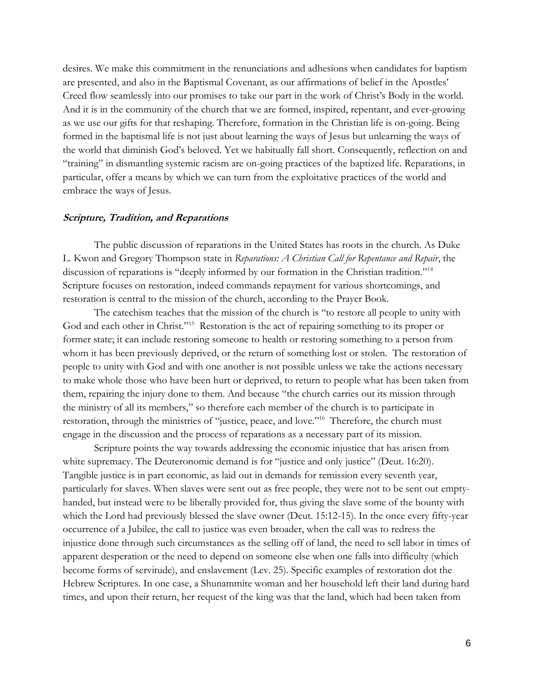desires. We make this commitment in the renunciations and adhesions when candidates for baptism are presented, and also in the Baptismal Covenant, as our affirmations of belief in the Apostles' Creed flow seamlessly into our promises to take our part in the work of Christ's Body in the world. And it is in the community of the church that we are formed, inspired, repentant, and ever-growing as we use our gifts for that reshaping. Therefore, formation in the Christian life is on-going. Being formed in the baptismal life is not just about learning the ways of Jesus but unlearning the ways of the world that diminish God's beloved. Yet we habitually fall short. Consequently, reflection on and "training" in dismantling systemic racism are on-going practices of the baptized life. Reparations, in particular, offer a means by which we can turn from the exploitative practices of the world and embrace the ways of Jesus.

#### **Scripture, Tradition, and Reparations**

The public discussion of reparations in the United States has roots in the church. As Duke L. Kwon and Gregory Thompson state in *Reparations: A Christian Call for Repentance and Repair*, the discussion of reparations is "deeply informed by our formation in the Christian tradition."<sup>14</sup> Scripture focuses on restoration, indeed commands repayment for various shortcomings, and restoration is central to the mission of the church, according to the Prayer Book.

The catechism teaches that the mission of the church is "to restore all people to unity with God and each other in Christ."<sup>15</sup> Restoration is the act of repairing something to its proper or former state; it can include restoring someone to health or restoring something to a person from whom it has been previously deprived, or the return of something lost or stolen. The restoration of people to unity with God and with one another is not possible unless we take the actions necessary to make whole those who have been hurt or deprived, to return to people what has been taken from them, repairing the injury done to them. And because "the church carries out its mission through the ministry of all its members," so therefore each member of the church is to participate in restoration, through the ministries of "justice, peace, and love."<sup>16</sup> Therefore, the church must engage in the discussion and the process of reparations as a necessary part of its mission.

Scripture points the way towards addressing the economic injustice that has arisen from white supremacy. The Deuteronomic demand is for "justice and only justice" (Deut. 16:20). Tangible justice is in part economic, as laid out in demands for remission every seventh year, particularly for slaves. When slaves were sent out as free people, they were not to be sent out emptyhanded, but instead were to be liberally provided for, thus giving the slave some of the bounty with which the Lord had previously blessed the slave owner (Deut. 15:12-15). In the once every fifty-year occurrence of a Jubilee, the call to justice was even broader, when the call was to redress the injustice done through such circumstances as the selling off of land, the need to sell labor in times of apparent desperation or the need to depend on someone else when one falls into difficulty (which become forms of servitude), and enslavement (Lev. 25). Specific examples of restoration dot the Hebrew Scriptures. In one case, a Shunammite woman and her household left their land during hard times, and upon their return, her request of the king was that the land, which had been taken from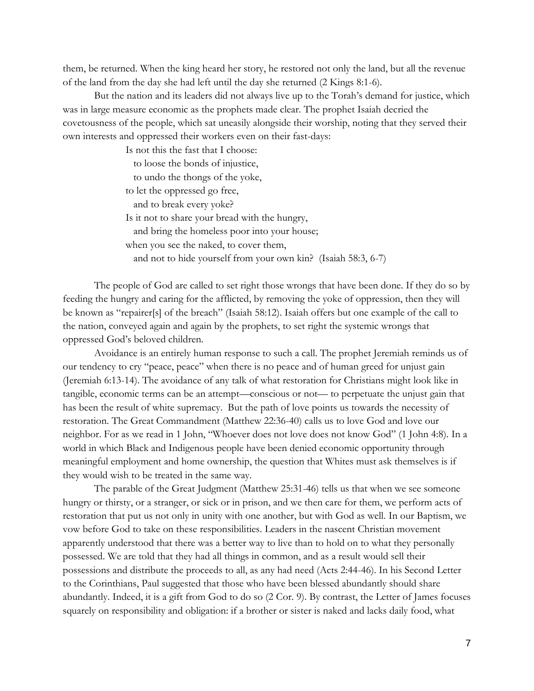them, be returned. When the king heard her story, he restored not only the land, but all the revenue of the land from the day she had left until the day she returned (2 Kings 8:1-6).

But the nation and its leaders did not always live up to the Torah's demand for justice, which was in large measure economic as the prophets made clear. The prophet Isaiah decried the covetousness of the people, which sat uneasily alongside their worship, noting that they served their own interests and oppressed their workers even on their fast-days:

> Is not this the fast that I choose: to loose the bonds of injustice, to undo the thongs of the yoke, to let the oppressed go free, and to break every yoke? Is it not to share your bread with the hungry, and bring the homeless poor into your house; when you see the naked, to cover them, and not to hide yourself from your own kin? (Isaiah 58:3, 6-7)

The people of God are called to set right those wrongs that have been done. If they do so by feeding the hungry and caring for the afflicted, by removing the yoke of oppression, then they will be known as "repairer[s] of the breach" (Isaiah 58:12). Isaiah offers but one example of the call to the nation, conveyed again and again by the prophets, to set right the systemic wrongs that oppressed God's beloved children.

Avoidance is an entirely human response to such a call. The prophet Jeremiah reminds us of our tendency to cry "peace, peace" when there is no peace and of human greed for unjust gain (Jeremiah 6:13-14). The avoidance of any talk of what restoration for Christians might look like in tangible, economic terms can be an attempt—conscious or not— to perpetuate the unjust gain that has been the result of white supremacy. But the path of love points us towards the necessity of restoration. The Great Commandment (Matthew 22:36-40) calls us to love God and love our neighbor. For as we read in 1 John, "Whoever does not love does not know God" (1 John 4:8). In a world in which Black and Indigenous people have been denied economic opportunity through meaningful employment and home ownership, the question that Whites must ask themselves is if they would wish to be treated in the same way.

The parable of the Great Judgment (Matthew 25:31-46) tells us that when we see someone hungry or thirsty, or a stranger, or sick or in prison, and we then care for them, we perform acts of restoration that put us not only in unity with one another, but with God as well. In our Baptism, we vow before God to take on these responsibilities. Leaders in the nascent Christian movement apparently understood that there was a better way to live than to hold on to what they personally possessed. We are told that they had all things in common, and as a result would sell their possessions and distribute the proceeds to all, as any had need (Acts 2:44-46). In his Second Letter to the Corinthians, Paul suggested that those who have been blessed abundantly should share abundantly. Indeed, it is a gift from God to do so (2 Cor. 9). By contrast, the Letter of James focuses squarely on responsibility and obligation: if a brother or sister is naked and lacks daily food, what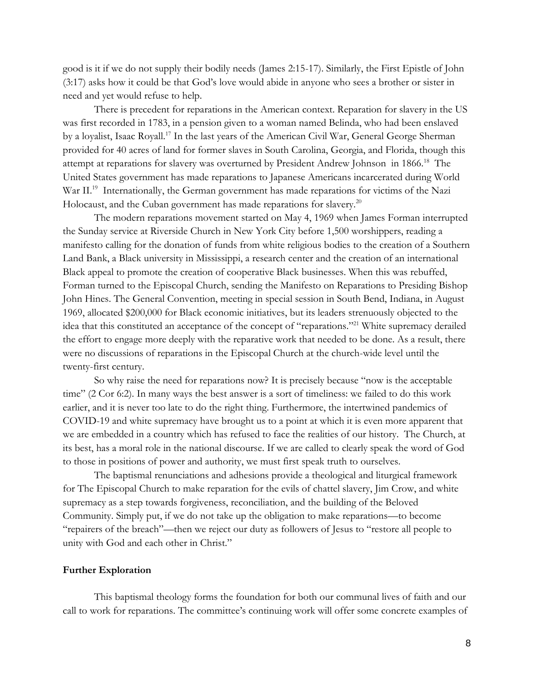good is it if we do not supply their bodily needs (James 2:15-17). Similarly, the First Epistle of John (3:17) asks how it could be that God's love would abide in anyone who sees a brother or sister in need and yet would refuse to help.

There is precedent for reparations in the American context. Reparation for slavery in the US was first recorded in 1783, in a pension given to a woman named Belinda, who had been enslaved by a loyalist, Isaac Royall.<sup>17</sup> In the last years of the American Civil War, General George Sherman provided for 40 acres of land for former slaves in South Carolina, Georgia, and Florida, though this attempt at reparations for slavery was overturned by President Andrew Johnson in 1866.<sup>18</sup> The United States government has made reparations to Japanese Americans incarcerated during World War II.<sup>19</sup> Internationally, the German government has made reparations for victims of the Nazi Holocaust, and the Cuban government has made reparations for slavery.<sup>20</sup>

The modern reparations movement started on May 4, 1969 when James Forman interrupted the Sunday service at Riverside Church in New York City before 1,500 worshippers, reading a manifesto calling for the donation of funds from white religious bodies to the creation of a Southern Land Bank, a Black university in Mississippi, a research center and the creation of an international Black appeal to promote the creation of cooperative Black businesses. When this was rebuffed, Forman turned to the Episcopal Church, sending the Manifesto on Reparations to Presiding Bishop John Hines. The General Convention, meeting in special session in South Bend, Indiana, in August 1969, allocated \$200,000 for Black economic initiatives, but its leaders strenuously objected to the idea that this constituted an acceptance of the concept of "reparations."<sup>21</sup> White supremacy derailed the effort to engage more deeply with the reparative work that needed to be done. As a result, there were no discussions of reparations in the Episcopal Church at the church-wide level until the twenty-first century.

So why raise the need for reparations now? It is precisely because "now is the acceptable time" (2 Cor 6:2). In many ways the best answer is a sort of timeliness: we failed to do this work earlier, and it is never too late to do the right thing. Furthermore, the intertwined pandemics of COVID-19 and white supremacy have brought us to a point at which it is even more apparent that we are embedded in a country which has refused to face the realities of our history. The Church, at its best, has a moral role in the national discourse. If we are called to clearly speak the word of God to those in positions of power and authority, we must first speak truth to ourselves.

The baptismal renunciations and adhesions provide a theological and liturgical framework for The Episcopal Church to make reparation for the evils of chattel slavery, Jim Crow, and white supremacy as a step towards forgiveness, reconciliation, and the building of the Beloved Community. Simply put, if we do not take up the obligation to make reparations—to become "repairers of the breach"—then we reject our duty as followers of Jesus to "restore all people to unity with God and each other in Christ."

### **Further Exploration**

This baptismal theology forms the foundation for both our communal lives of faith and our call to work for reparations. The committee's continuing work will offer some concrete examples of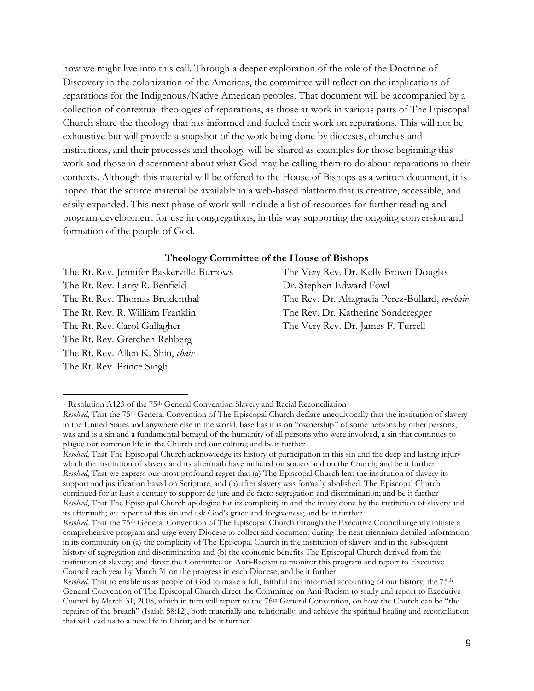how we might live into this call. Through a deeper exploration of the role of the Doctrine of Discovery in the colonization of the Americas, the committee will reflect on the implications of reparations for the Indigenous/Native American peoples. That document will be accompanied by a collection of contextual theologies of reparations, as those at work in various parts of The Episcopal Church share the theology that has informed and fueled their work on reparations. This will not be exhaustive but will provide a snapshot of the work being done by dioceses, churches and institutions, and their processes and theology will be shared as examples for those beginning this work and those in discernment about what God may be calling them to do about reparations in their contexts. Although this material will be offered to the House of Bishops as a written document, it is hoped that the source material be available in a web-based platform that is creative, accessible, and easily expanded. This next phase of work will include a list of resources for further reading and program development for use in congregations, in this way supporting the ongoing conversion and formation of the people of God.

# **Theology Committee of the House of Bishops**

The Rt. Rev. Larry R. Benfield Dr. Stephen Edward Fowl The Rt. Rev. Gretchen Rehberg The Rt. Rev. Allen K. Shin, *chair* The Rt. Rev. Prince Singh

The Rt. Rev. Jennifer Baskerville-Burrows The Very Rev. Dr. Kelly Brown Douglas The Rt. Rev. Thomas Breidenthal The Rev. Dr. Altagracia Perez-Bullard, *co-chair* The Rt. Rev. R. William Franklin The Rev. Dr. Katherine Sonderegger The Rt. Rev. Carol Gallagher The Very Rev. Dr. James F. Turrell

<sup>&</sup>lt;sup>1</sup> Resolution A123 of the 75<sup>th</sup> General Convention Slavery and Racial Reconciliation

*Resolved*, That the 75th General Convention of The Episcopal Church declare unequivocally that the institution of slavery in the United States and anywhere else in the world, based as it is on "ownership" of some persons by other persons, was and is a sin and a fundamental betrayal of the humanity of all persons who were involved, a sin that continues to plague our common life in the Church and our culture; and be it further

*Resolved*, That The Episcopal Church acknowledge its history of participation in this sin and the deep and lasting injury which the institution of slavery and its aftermath have inflicted on society and on the Church; and be it further *Resolved*, That we express our most profound regret that (a) The Episcopal Church lent the institution of slavery its support and justification based on Scripture, and (b) after slavery was formally abolished, The Episcopal Church continued for at least a century to support de jure and de facto segregation and discrimination; and be it further *Resolved*, That The Episcopal Church apologize for its complicity in and the injury done by the institution of slavery and its aftermath; we repent of this sin and ask God's grace and forgiveness; and be it further

*Resolved,* That the 75th General Convention of The Episcopal Church through the Executive Council urgently initiate a comprehensive program and urge every Diocese to collect and document during the next triennium detailed information in its community on (a) the complicity of The Episcopal Church in the institution of slavery and in the subsequent history of segregation and discrimination and (b) the economic benefits The Episcopal Church derived from the institution of slavery; and direct the Committee on Anti-Racism to monitor this program and report to Executive Council each year by March 31 on the progress in each Diocese; and be it further

*Resolved,* That to enable us as people of God to make a full, faithful and informed accounting of our history, the 75<sup>th</sup> General Convention of The Episcopal Church direct the Committee on Anti-Racism to study and report to Executive Council by March 31, 2008, which in turn will report to the 76<sup>th</sup> General Convention, on how the Church can be "the repairer of the breach" (Isaiah 58:12), both materially and relationally, and achieve the spiritual healing and reconciliation that will lead us to a new life in Christ; and be it further